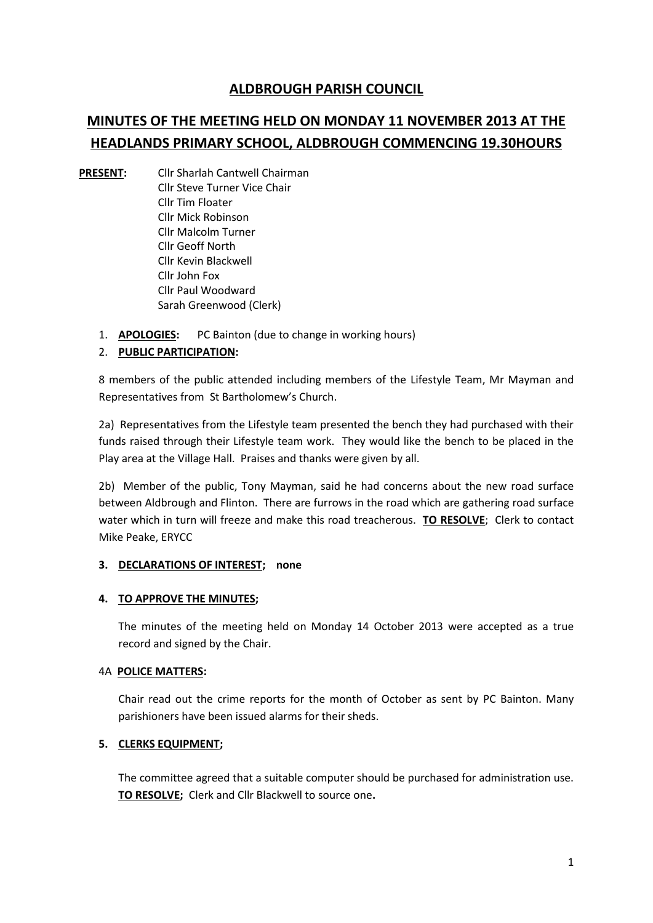# **ALDBROUGH PARISH COUNCIL**

# **MINUTES OF THE MEETING HELD ON MONDAY 11 NOVEMBER 2013 AT THE HEADLANDS PRIMARY SCHOOL, ALDBROUGH COMMENCING 19.30HOURS**

- **PRESENT:** Cllr Sharlah Cantwell Chairman Cllr Steve Turner Vice Chair Cllr Tim Floater Cllr Mick Robinson Cllr Malcolm Turner Cllr Geoff North Cllr Kevin Blackwell Cllr John Fox Cllr Paul Woodward Sarah Greenwood (Clerk)
	- 1. **APOLOGIES:** PC Bainton (due to change in working hours)

# 2. **PUBLIC PARTICIPATION:**

8 members of the public attended including members of the Lifestyle Team, Mr Mayman and Representatives from St Bartholomew's Church.

2a) Representatives from the Lifestyle team presented the bench they had purchased with their funds raised through their Lifestyle team work. They would like the bench to be placed in the Play area at the Village Hall. Praises and thanks were given by all.

2b) Member of the public, Tony Mayman, said he had concerns about the new road surface between Aldbrough and Flinton. There are furrows in the road which are gathering road surface water which in turn will freeze and make this road treacherous. **TO RESOLVE**; Clerk to contact Mike Peake, ERYCC

#### **3. DECLARATIONS OF INTEREST; none**

# **4. TO APPROVE THE MINUTES;**

The minutes of the meeting held on Monday 14 October 2013 were accepted as a true record and signed by the Chair.

#### 4A **POLICE MATTERS:**

Chair read out the crime reports for the month of October as sent by PC Bainton. Many parishioners have been issued alarms for their sheds.

# **5. CLERKS EQUIPMENT;**

The committee agreed that a suitable computer should be purchased for administration use. **TO RESOLVE;** Clerk and Cllr Blackwell to source one**.**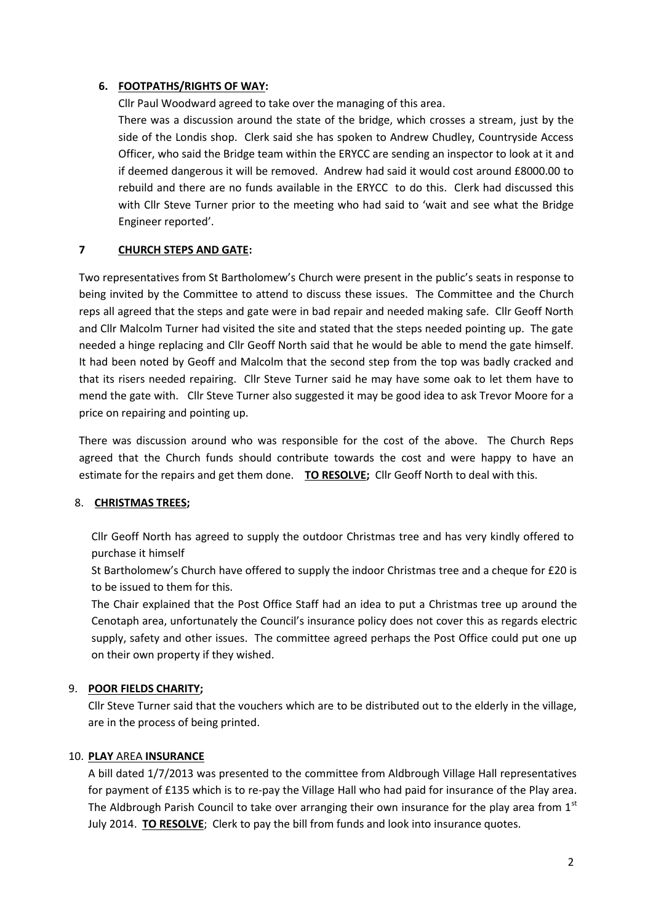## **6. FOOTPATHS/RIGHTS OF WAY:**

Cllr Paul Woodward agreed to take over the managing of this area.

There was a discussion around the state of the bridge, which crosses a stream, just by the side of the Londis shop. Clerk said she has spoken to Andrew Chudley, Countryside Access Officer, who said the Bridge team within the ERYCC are sending an inspector to look at it and if deemed dangerous it will be removed. Andrew had said it would cost around £8000.00 to rebuild and there are no funds available in the ERYCC to do this. Clerk had discussed this with Cllr Steve Turner prior to the meeting who had said to 'wait and see what the Bridge Engineer reported'.

#### **7 CHURCH STEPS AND GATE:**

Two representatives from St Bartholomew's Church were present in the public's seats in response to being invited by the Committee to attend to discuss these issues. The Committee and the Church reps all agreed that the steps and gate were in bad repair and needed making safe. Cllr Geoff North and Cllr Malcolm Turner had visited the site and stated that the steps needed pointing up. The gate needed a hinge replacing and Cllr Geoff North said that he would be able to mend the gate himself. It had been noted by Geoff and Malcolm that the second step from the top was badly cracked and that its risers needed repairing. Cllr Steve Turner said he may have some oak to let them have to mend the gate with. Cllr Steve Turner also suggested it may be good idea to ask Trevor Moore for a price on repairing and pointing up.

There was discussion around who was responsible for the cost of the above. The Church Reps agreed that the Church funds should contribute towards the cost and were happy to have an estimate for the repairs and get them done. **TO RESOLVE;** Cllr Geoff North to deal with this.

#### 8. **CHRISTMAS TREES;**

Cllr Geoff North has agreed to supply the outdoor Christmas tree and has very kindly offered to purchase it himself

St Bartholomew's Church have offered to supply the indoor Christmas tree and a cheque for £20 is to be issued to them for this.

The Chair explained that the Post Office Staff had an idea to put a Christmas tree up around the Cenotaph area, unfortunately the Council's insurance policy does not cover this as regards electric supply, safety and other issues. The committee agreed perhaps the Post Office could put one up on their own property if they wished.

# 9. **POOR FIELDS CHARITY;**

Cllr Steve Turner said that the vouchers which are to be distributed out to the elderly in the village, are in the process of being printed.

# 10. **PLAY** AREA **INSURANCE**

A bill dated 1/7/2013 was presented to the committee from Aldbrough Village Hall representatives for payment of £135 which is to re-pay the Village Hall who had paid for insurance of the Play area. The Aldbrough Parish Council to take over arranging their own insurance for the play area from  $1<sup>st</sup>$ July 2014. **TO RESOLVE**; Clerk to pay the bill from funds and look into insurance quotes.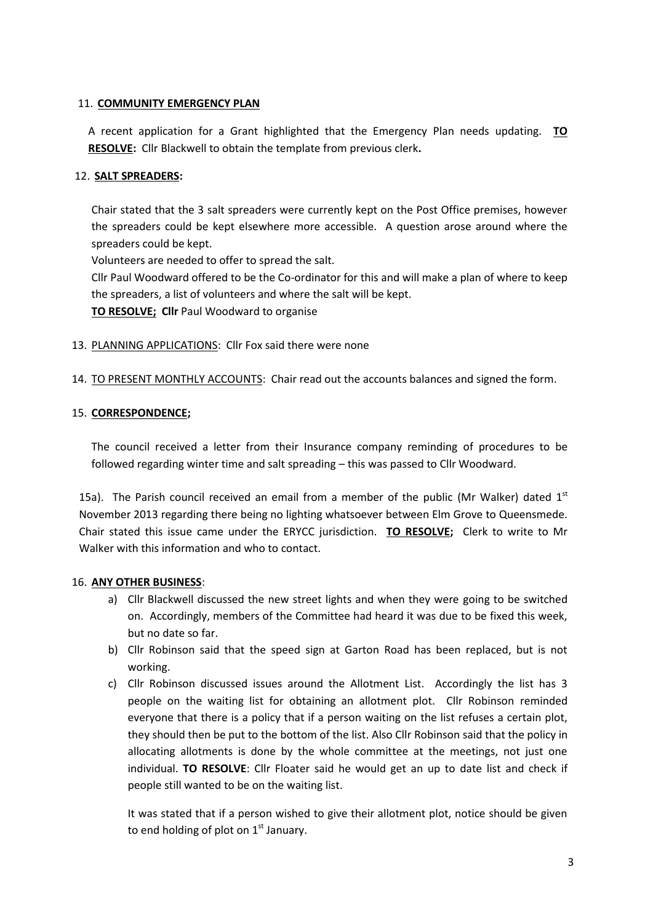#### 11. **COMMUNITY EMERGENCY PLAN**

A recent application for a Grant highlighted that the Emergency Plan needs updating. **TO RESOLVE:** Cllr Blackwell to obtain the template from previous clerk**.**

## 12. **SALT SPREADERS:**

Chair stated that the 3 salt spreaders were currently kept on the Post Office premises, however the spreaders could be kept elsewhere more accessible. A question arose around where the spreaders could be kept.

Volunteers are needed to offer to spread the salt.

Cllr Paul Woodward offered to be the Co-ordinator for this and will make a plan of where to keep the spreaders, a list of volunteers and where the salt will be kept.

**TO RESOLVE; Cllr** Paul Woodward to organise

- 13. PLANNING APPLICATIONS: Cllr Fox said there were none
- 14. TO PRESENT MONTHLY ACCOUNTS: Chair read out the accounts balances and signed the form.

#### 15. **CORRESPONDENCE;**

The council received a letter from their Insurance company reminding of procedures to be followed regarding winter time and salt spreading – this was passed to Cllr Woodward.

15a). The Parish council received an email from a member of the public (Mr Walker) dated  $1<sup>st</sup>$ November 2013 regarding there being no lighting whatsoever between Elm Grove to Queensmede. Chair stated this issue came under the ERYCC jurisdiction. **TO RESOLVE;** Clerk to write to Mr Walker with this information and who to contact.

# 16. **ANY OTHER BUSINESS**:

- a) Cllr Blackwell discussed the new street lights and when they were going to be switched on. Accordingly, members of the Committee had heard it was due to be fixed this week, but no date so far.
- b) Cllr Robinson said that the speed sign at Garton Road has been replaced, but is not working.
- c) Cllr Robinson discussed issues around the Allotment List. Accordingly the list has 3 people on the waiting list for obtaining an allotment plot. Cllr Robinson reminded everyone that there is a policy that if a person waiting on the list refuses a certain plot, they should then be put to the bottom of the list. Also Cllr Robinson said that the policy in allocating allotments is done by the whole committee at the meetings, not just one individual. **TO RESOLVE**: Cllr Floater said he would get an up to date list and check if people still wanted to be on the waiting list.

It was stated that if a person wished to give their allotment plot, notice should be given to end holding of plot on  $1<sup>st</sup>$  January.